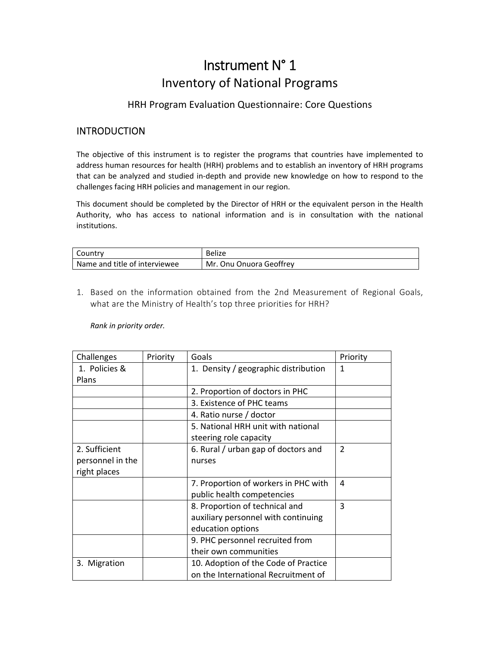# Instrument N° 1 Inventory of National Programs

#### HRH Program Evaluation Questionnaire: Core Questions

## **INTRODUCTION**

The objective of this instrument is to register the programs that countries have implemented to address human resources for health (HRH) problems and to establish an inventory of HRH programs that can be analyzed and studied in‐depth and provide new knowledge on how to respond to the challenges facing HRH policies and management in our region.

This document should be completed by the Director of HRH or the equivalent person in the Health Authority, who has access to national information and is in consultation with the national institutions.

| Country                         | <b>Belize</b>           |
|---------------------------------|-------------------------|
| l Name and title of interviewee | Mr. Onu Onuora Geoffrey |

1. Based on the information obtained from the 2nd Measurement of Regional Goals, what are the Ministry of Health's top three priorities for HRH?

*Rank in priority order.*

| Challenges       | Priority | Goals                                | Priority       |
|------------------|----------|--------------------------------------|----------------|
| 1. Policies &    |          | 1. Density / geographic distribution | 1              |
| Plans            |          |                                      |                |
|                  |          | 2. Proportion of doctors in PHC      |                |
|                  |          | 3. Existence of PHC teams            |                |
|                  |          | 4. Ratio nurse / doctor              |                |
|                  |          | 5. National HRH unit with national   |                |
|                  |          | steering role capacity               |                |
| 2. Sufficient    |          | 6. Rural / urban gap of doctors and  | $\overline{2}$ |
| personnel in the |          | nurses                               |                |
| right places     |          |                                      |                |
|                  |          | 7. Proportion of workers in PHC with | 4              |
|                  |          | public health competencies           |                |
|                  |          | 8. Proportion of technical and       | 3              |
|                  |          | auxiliary personnel with continuing  |                |
|                  |          | education options                    |                |
|                  |          | 9. PHC personnel recruited from      |                |
|                  |          | their own communities                |                |
| 3. Migration     |          | 10. Adoption of the Code of Practice |                |
|                  |          | on the International Recruitment of  |                |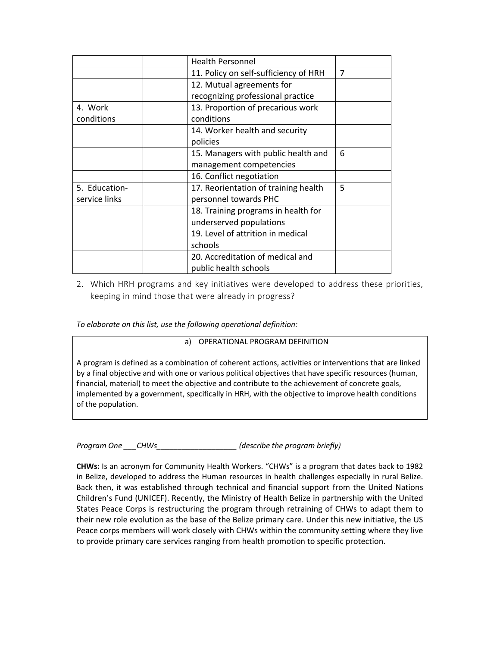|               | <b>Health Personnel</b>               |                |
|---------------|---------------------------------------|----------------|
|               | 11. Policy on self-sufficiency of HRH | $\overline{7}$ |
|               | 12. Mutual agreements for             |                |
|               | recognizing professional practice     |                |
| 4. Work       | 13. Proportion of precarious work     |                |
| conditions    | conditions                            |                |
|               | 14. Worker health and security        |                |
|               | policies                              |                |
|               | 15. Managers with public health and   | 6              |
|               | management competencies               |                |
|               | 16. Conflict negotiation              |                |
| 5. Education- | 17. Reorientation of training health  | 5              |
| service links | personnel towards PHC                 |                |
|               | 18. Training programs in health for   |                |
|               | underserved populations               |                |
|               | 19. Level of attrition in medical     |                |
|               | schools                               |                |
|               | 20. Accreditation of medical and      |                |
|               | public health schools                 |                |
|               |                                       |                |

2. Which HRH programs and key initiatives were developed to address these priorities, keeping in mind those that were already in progress?

*To elaborate on this list, use the following operational definition:*

#### a) OPERATIONAL PROGRAM DEFINITION

A program is defined as a combination of coherent actions, activities or interventions that are linked by a final objective and with one or various political objectives that have specific resources (human, financial, material) to meet the objective and contribute to the achievement of concrete goals, implemented by a government, specifically in HRH, with the objective to improve health conditions of the population.

*Program One \_\_\_CHWs\_\_\_\_\_\_\_\_\_\_\_\_\_\_\_\_\_\_\_ (describe the program briefly)*

**CHWs:** Is an acronym for Community Health Workers. "CHWs" is a program that dates back to 1982 in Belize, developed to address the Human resources in health challenges especially in rural Belize. Back then, it was established through technical and financial support from the United Nations Children's Fund (UNICEF). Recently, the Ministry of Health Belize in partnership with the United States Peace Corps is restructuring the program through retraining of CHWs to adapt them to their new role evolution as the base of the Belize primary care. Under this new initiative, the US Peace corps members will work closely with CHWs within the community setting where they live to provide primary care services ranging from health promotion to specific protection.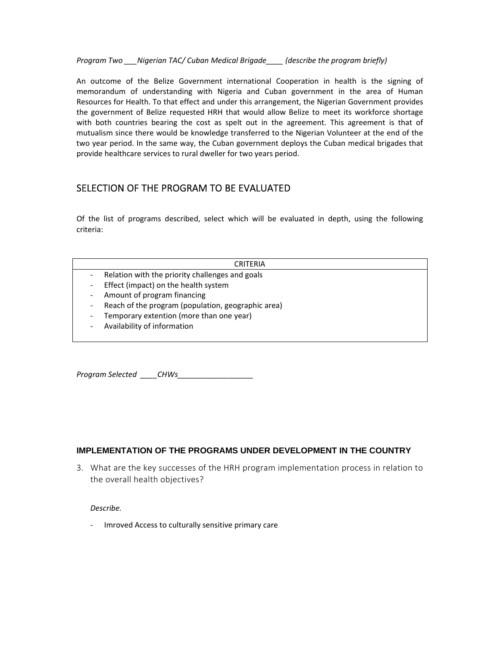*Program Two \_\_\_Nigerian TAC/ Cuban Medical Brigade\_\_\_\_ (describe the program briefly)*

An outcome of the Belize Government international Cooperation in health is the signing of memorandum of understanding with Nigeria and Cuban government in the area of Human Resources for Health. To that effect and under this arrangement, the Nigerian Government provides the government of Belize requested HRH that would allow Belize to meet its workforce shortage with both countries bearing the cost as spelt out in the agreement. This agreement is that of mutualism since there would be knowledge transferred to the Nigerian Volunteer at the end of the two year period. In the same way, the Cuban government deploys the Cuban medical brigades that provide healthcare services to rural dweller for two years period.

### SELECTION OF THE PROGRAM TO BE EVALUATED

Of the list of programs described, select which will be evaluated in depth, using the following criteria:

#### CRITERIA

- ‐ Relation with the priority challenges and goals
- Effect (impact) on the health system
- ‐ Amount of program financing
- ‐ Reach of the program (population, geographic area)
- ‐ Temporary extention (more than one year)
- ‐ Availability of information

*Program Selected \_\_\_\_CHWs\_\_\_\_\_\_\_\_\_\_\_\_\_\_\_\_\_\_* 

#### **IMPLEMENTATION OF THE PROGRAMS UNDER DEVELOPMENT IN THE COUNTRY**

3. What are the key successes of the HRH program implementation process in relation to the overall health objectives?

*Describe.*

‐ Imroved Access to culturally sensitive primary care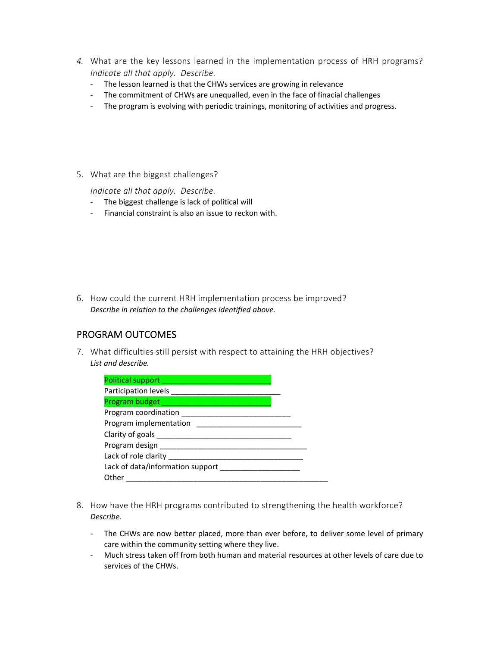- *4.* What are the key lessons learned in the implementation process of HRH programs? *Indicate all that apply. Describe.* 
	- ‐ The lesson learned is that the CHWs services are growing in relevance
	- ‐ The commitment of CHWs are unequalled, even in the face of finacial challenges
	- ‐ The program is evolving with periodic trainings, monitoring of activities and progress.
- 5. What are the biggest challenges?

*Indicate all that apply. Describe.* 

- ‐ The biggest challenge is lack of political will
- ‐ Financial constraint is also an issue to reckon with.

6. How could the current HRH implementation process be improved? *Describe in relation to the challenges identified above.*

## PROGRAM OUTCOMES

7. What difficulties still persist with respect to attaining the HRH objectives? *List and describe.*

| Political support _____________________ |
|-----------------------------------------|
|                                         |
|                                         |
|                                         |
| Program implementation                  |
|                                         |
|                                         |
| Lack of role clarity                    |
| Lack of data/information support        |
| Other                                   |

- 8. How have the HRH programs contributed to strengthening the health workforce? *Describe.*
	- The CHWs are now better placed, more than ever before, to deliver some level of primary care within the community setting where they live.
	- ‐ Much stress taken off from both human and material resources at other levels of care due to services of the CHWs.